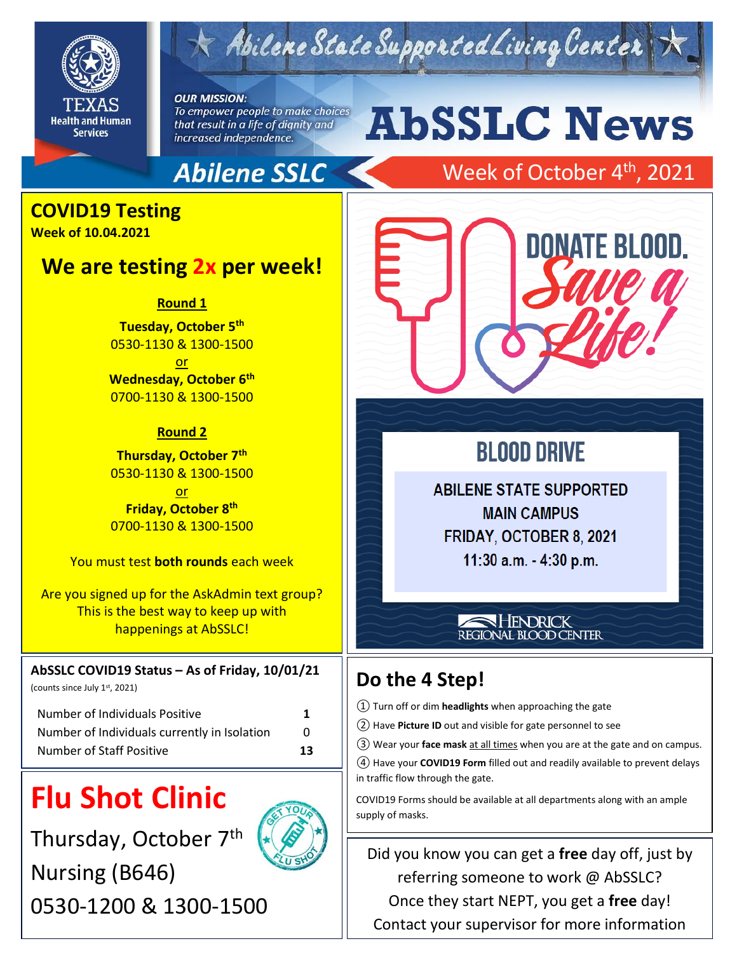

Abilene State Supported Living Center

**OUR MISSION:** To empower people to make choices that result in a life of dignity and increased independence.

### **Abilene SSLC**

# **AbSSLC News**

Week of October 4<sup>th</sup>, 2021

### **COVID19 Testing**

**Week of 10.04.2021**

#### **We are testing 2x per week!**

**Round 1**

**Tuesday, October 5th** 0530-1130 & 1300-1500 or **Wednesday, October 6th** 0700-1130 & 1300-1500

#### **Round 2**

**Thursday, October 7th** 0530-1130 & 1300-1500 or

**Friday, October 8th** 0700-1130 & 1300-1500

You must test **both rounds** each week

Are you signed up for the AskAdmin text group? This is the best way to keep up with happenings at AbSSLC!

#### **AbSSLC COVID19 Status – As of Friday, 10/01/21**

(counts since July 1st, 2021)

| Number of Individuals Positive               | 1            |
|----------------------------------------------|--------------|
| Number of Individuals currently in Isolation | $\mathbf{0}$ |
| Number of Staff Positive                     | 13           |

## **Flu Shot Clinic**

Thursday, October 7<sup>th</sup> Nursing (B646) 0530-1200 & 1300-1500





### **BLOOD DRIVE**

2019

**ABILENE STATE SUPPORTED MAIN CAMPUS** FRIDAY, OCTOBER 8, 2021 11:30 a.m. - 4:30 p.m.

#### HENDRICK REGIONAL BLOOD CENTER

### **Do the 4 Step!**

① Turn off or dim **headlights** when approaching the gate

- ② Have **Picture ID** out and visible for gate personnel to see
- ③ Wear your **face mask** at all times when you are at the gate and on campus.

④ Have your **COVID19 Form** filled out and readily available to prevent delays in traffic flow through the gate.

COVID19 Forms should be available at all departments along with an ample supply of masks.

Did you know you can get a **free** day off, just by referring someone to work @ AbSSLC? Once they start NEPT, you get a **free** day! Contact your supervisor for more information